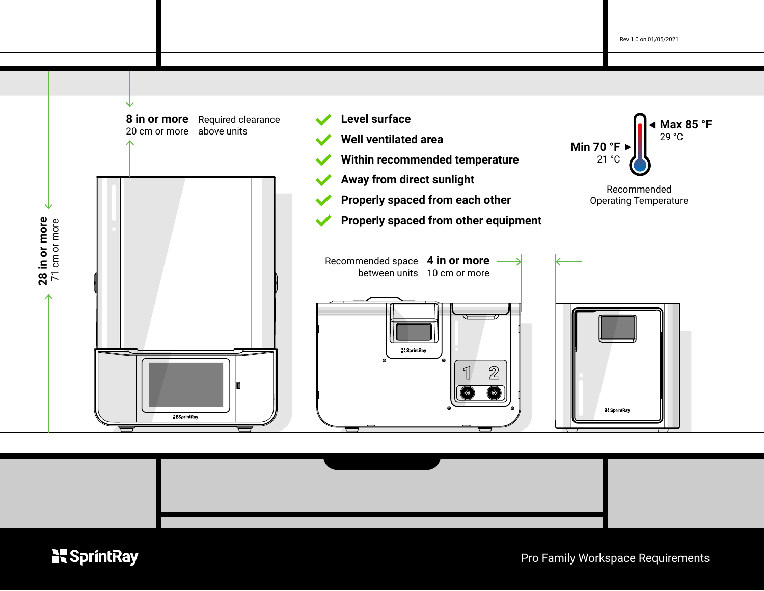



# **N**SprintRay

Pro Family Workspace Requirements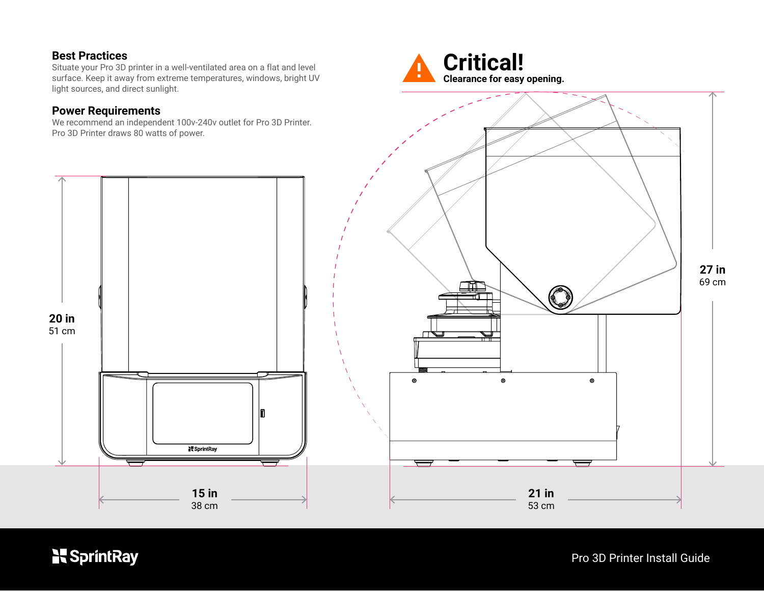## **Best Practices**

**20 in** 51 cm

Situate your Pro 3D printer in a well-ventilated area on a flat and level surface. Keep it away from extreme temperatures, windows, bright UV light sources, and direct sunlight.

#### **Power Requirements**

We recommend an independent 100v-240v outlet for Pro 3D Printer. Pro 3D Printer draws 80 watts of power.

> **15 in** 38 cm

SprintRay





**N**SprintRay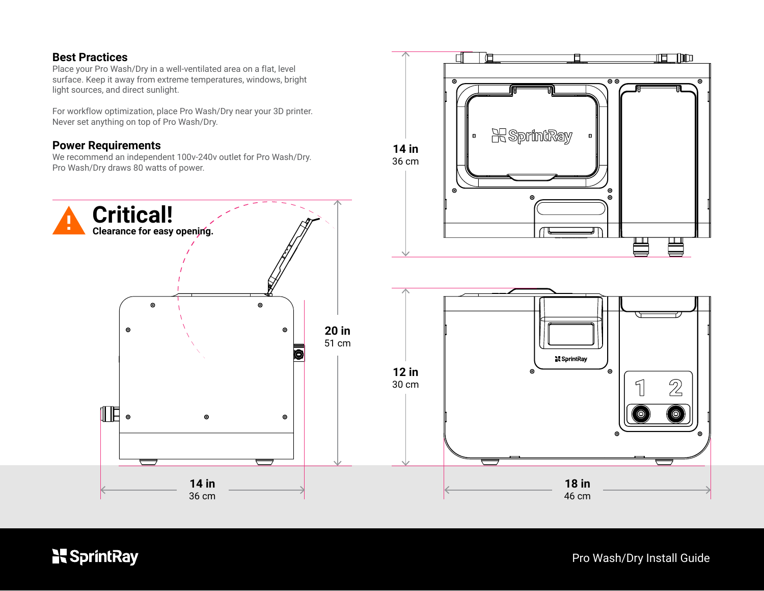### **Best Practices**

Place your Pro Wash/Dry in a well-ventilated area on a flat, level surface. Keep it away from extreme temperatures, windows, bright light sources, and direct sunlight.

For workflow optimization, place Pro Wash/Dry near your 3D printer. Never set anything on top of Pro Wash/Dry.

#### **Power Requirements**

We recommend an independent 100v-240v outlet for Pro Wash/Dry. Pro Wash/Dry draws 80 watts of power.





**N**SprintRay